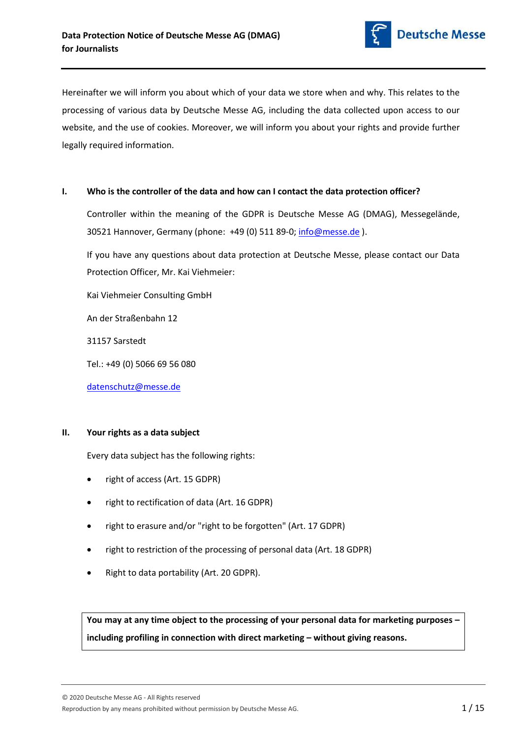

Hereinafter we will inform you about which of your data we store when and why. This relates to the processing of various data by Deutsche Messe AG, including the data collected upon access to our website, and the use of cookies. Moreover, we will inform you about your rights and provide further legally required information.

## I. Who is the controller of the data and how can I contact the data protection officer?

Controller within the meaning of the GDPR is Deutsche Messe AG (DMAG), Messegelände, 30521 Hannover, Germany (phone: +49 (0) 511 89-0; info@messe.de ).

If you have any questions about data protection at Deutsche Messe, please contact our Data Protection Officer, Mr. Kai Viehmeier:

Kai Viehmeier Consulting GmbH

An der Straßenbahn 12

31157 Sarstedt

Tel.: +49 (0) 5066 69 56 080

datenschutz@messe.de

# II. Your rights as a data subject

Every data subject has the following rights:

- right of access (Art. 15 GDPR)
- right to rectification of data (Art. 16 GDPR)
- right to erasure and/or "right to be forgotten" (Art. 17 GDPR)
- right to restriction of the processing of personal data (Art. 18 GDPR)
- Right to data portability (Art. 20 GDPR).

You may at any time object to the processing of your personal data for marketing purposes – including profiling in connection with direct marketing – without giving reasons.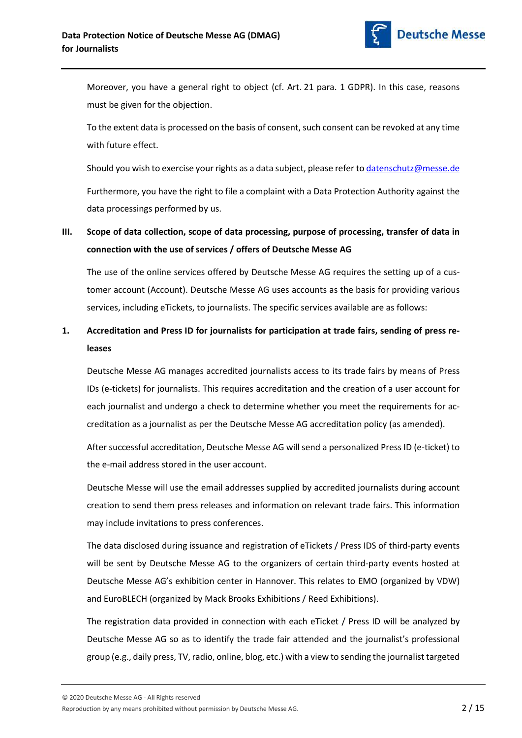

Moreover, you have a general right to object (cf. Art. 21 para. 1 GDPR). In this case, reasons must be given for the objection.

To the extent data is processed on the basis of consent, such consent can be revoked at any time with future effect.

Should you wish to exercise your rights as a data subject, please refer to datenschutz@messe.de

Furthermore, you have the right to file a complaint with a Data Protection Authority against the data processings performed by us.

# III. Scope of data collection, scope of data processing, purpose of processing, transfer of data in connection with the use of services / offers of Deutsche Messe AG

The use of the online services offered by Deutsche Messe AG requires the setting up of a customer account (Account). Deutsche Messe AG uses accounts as the basis for providing various services, including eTickets, to journalists. The specific services available are as follows:

# 1. Accreditation and Press ID for journalists for participation at trade fairs, sending of press releases

Deutsche Messe AG manages accredited journalists access to its trade fairs by means of Press IDs (e-tickets) for journalists. This requires accreditation and the creation of a user account for each journalist and undergo a check to determine whether you meet the requirements for accreditation as a journalist as per the Deutsche Messe AG accreditation policy (as amended).

After successful accreditation, Deutsche Messe AG will send a personalized Press ID (e-ticket) to the e-mail address stored in the user account.

Deutsche Messe will use the email addresses supplied by accredited journalists during account creation to send them press releases and information on relevant trade fairs. This information may include invitations to press conferences.

The data disclosed during issuance and registration of eTickets / Press IDS of third-party events will be sent by Deutsche Messe AG to the organizers of certain third-party events hosted at Deutsche Messe AG's exhibition center in Hannover. This relates to EMO (organized by VDW) and EuroBLECH (organized by Mack Brooks Exhibitions / Reed Exhibitions).

The registration data provided in connection with each eTicket / Press ID will be analyzed by Deutsche Messe AG so as to identify the trade fair attended and the journalist's professional group (e.g., daily press, TV, radio, online, blog, etc.) with a view to sending the journalist targeted

Reproduction by any means prohibited without permission by Deutsche Messe AG.  $\overline{2 / 15}$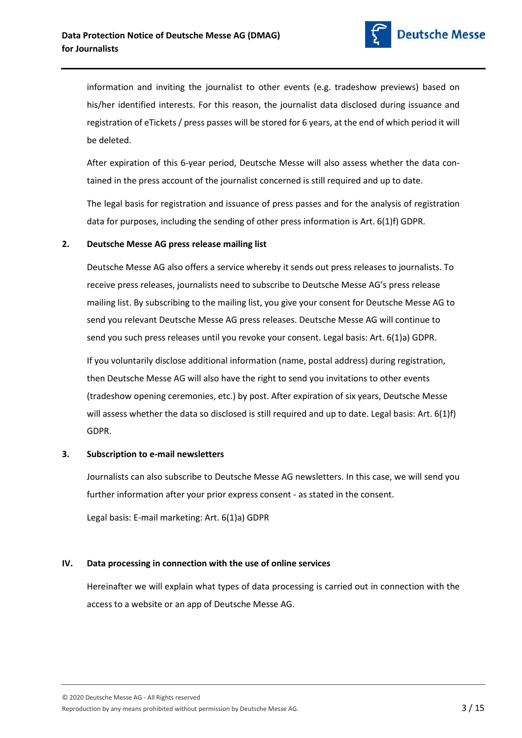

information and inviting the journalist to other events (e.g. tradeshow previews) based on his/her identified interests. For this reason, the journalist data disclosed during issuance and registration of eTickets / press passes will be stored for 6 years, at the end of which period it will be deleted.

After expiration of this 6-year period, Deutsche Messe will also assess whether the data contained in the press account of the journalist concerned is still required and up to date.

The legal basis for registration and issuance of press passes and for the analysis of registration data for purposes, including the sending of other press information is Art. 6(1)f) GDPR.

## 2. Deutsche Messe AG press release mailing list

Deutsche Messe AG also offers a service whereby it sends out press releases to journalists. To receive press releases, journalists need to subscribe to Deutsche Messe AG's press release mailing list. By subscribing to the mailing list, you give your consent for Deutsche Messe AG to send you relevant Deutsche Messe AG press releases. Deutsche Messe AG will continue to send you such press releases until you revoke your consent. Legal basis: Art. 6(1)a) GDPR.

If you voluntarily disclose additional information (name, postal address) during registration, then Deutsche Messe AG will also have the right to send you invitations to other events (tradeshow opening ceremonies, etc.) by post. After expiration of six years, Deutsche Messe will assess whether the data so disclosed is still required and up to date. Legal basis: Art. 6(1)f) GDPR.

## 3. Subscription to e-mail newsletters

Journalists can also subscribe to Deutsche Messe AG newsletters. In this case, we will send you further information after your prior express consent - as stated in the consent.

Legal basis: E-mail marketing: Art. 6(1)a) GDPR

# IV. Data processing in connection with the use of online services

Hereinafter we will explain what types of data processing is carried out in connection with the access to a website or an app of Deutsche Messe AG.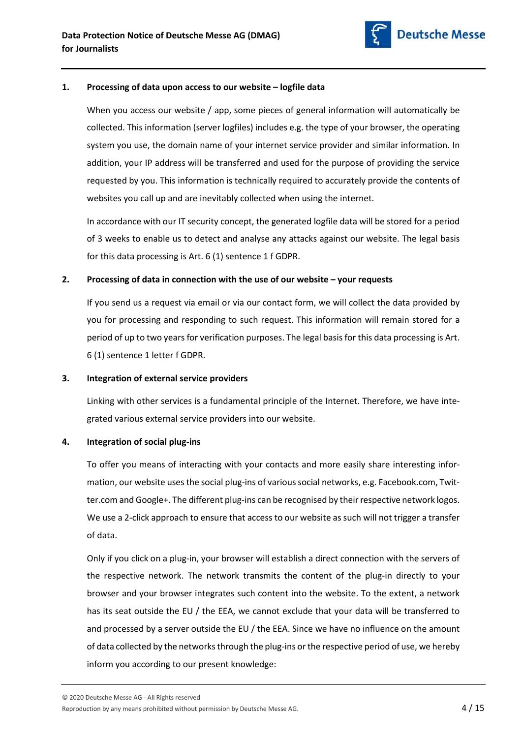

## 1. Processing of data upon access to our website – logfile data

When you access our website / app, some pieces of general information will automatically be collected. This information (server logfiles) includes e.g. the type of your browser, the operating system you use, the domain name of your internet service provider and similar information. In addition, your IP address will be transferred and used for the purpose of providing the service requested by you. This information is technically required to accurately provide the contents of websites you call up and are inevitably collected when using the internet.

In accordance with our IT security concept, the generated logfile data will be stored for a period of 3 weeks to enable us to detect and analyse any attacks against our website. The legal basis for this data processing is Art. 6 (1) sentence 1 f GDPR.

#### 2. Processing of data in connection with the use of our website – your requests

If you send us a request via email or via our contact form, we will collect the data provided by you for processing and responding to such request. This information will remain stored for a period of up to two years for verification purposes. The legal basis for this data processing is Art. 6 (1) sentence 1 letter f GDPR.

#### 3. Integration of external service providers

Linking with other services is a fundamental principle of the Internet. Therefore, we have integrated various external service providers into our website.

## 4. Integration of social plug-ins

To offer you means of interacting with your contacts and more easily share interesting information, our website uses the social plug-ins of various social networks, e.g. Facebook.com, Twitter.com and Google+. The different plug-ins can be recognised by their respective network logos. We use a 2-click approach to ensure that access to our website as such will not trigger a transfer of data.

Only if you click on a plug-in, your browser will establish a direct connection with the servers of the respective network. The network transmits the content of the plug-in directly to your browser and your browser integrates such content into the website. To the extent, a network has its seat outside the EU / the EEA, we cannot exclude that your data will be transferred to and processed by a server outside the EU / the EEA. Since we have no influence on the amount of data collected by the networks through the plug-ins or the respective period of use, we hereby inform you according to our present knowledge: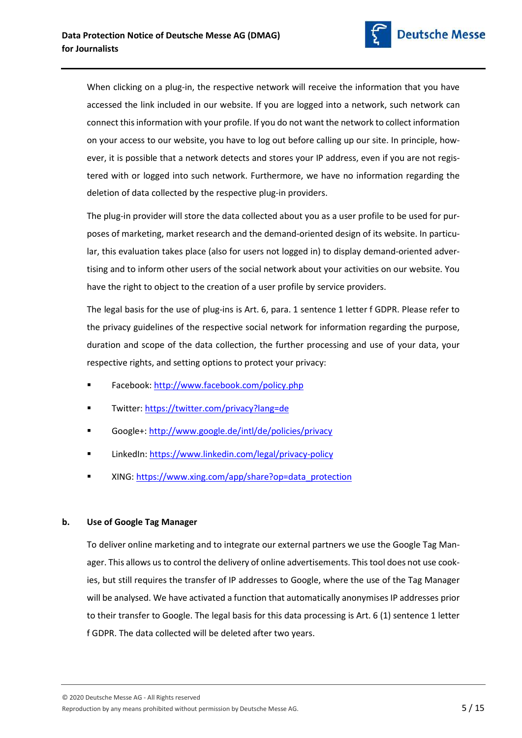

When clicking on a plug-in, the respective network will receive the information that you have accessed the link included in our website. If you are logged into a network, such network can connect this information with your profile. If you do not want the network to collect information on your access to our website, you have to log out before calling up our site. In principle, however, it is possible that a network detects and stores your IP address, even if you are not registered with or logged into such network. Furthermore, we have no information regarding the deletion of data collected by the respective plug-in providers.

The plug-in provider will store the data collected about you as a user profile to be used for purposes of marketing, market research and the demand-oriented design of its website. In particular, this evaluation takes place (also for users not logged in) to display demand-oriented advertising and to inform other users of the social network about your activities on our website. You have the right to object to the creation of a user profile by service providers.

The legal basis for the use of plug-ins is Art. 6, para. 1 sentence 1 letter f GDPR. Please refer to the privacy guidelines of the respective social network for information regarding the purpose, duration and scope of the data collection, the further processing and use of your data, your respective rights, and setting options to protect your privacy:

- Facebook: http://www.facebook.com/policy.php
- Twitter: https://twitter.com/privacy?lang=de
- Google+: http://www.google.de/intl/de/policies/privacy
- LinkedIn: https://www.linkedin.com/legal/privacy-policy
- XING: https://www.xing.com/app/share?op=data\_protection

# b. Use of Google Tag Manager

To deliver online marketing and to integrate our external partners we use the Google Tag Manager. This allows us to control the delivery of online advertisements. This tool does not use cookies, but still requires the transfer of IP addresses to Google, where the use of the Tag Manager will be analysed. We have activated a function that automatically anonymises IP addresses prior to their transfer to Google. The legal basis for this data processing is Art. 6 (1) sentence 1 letter f GDPR. The data collected will be deleted after two years.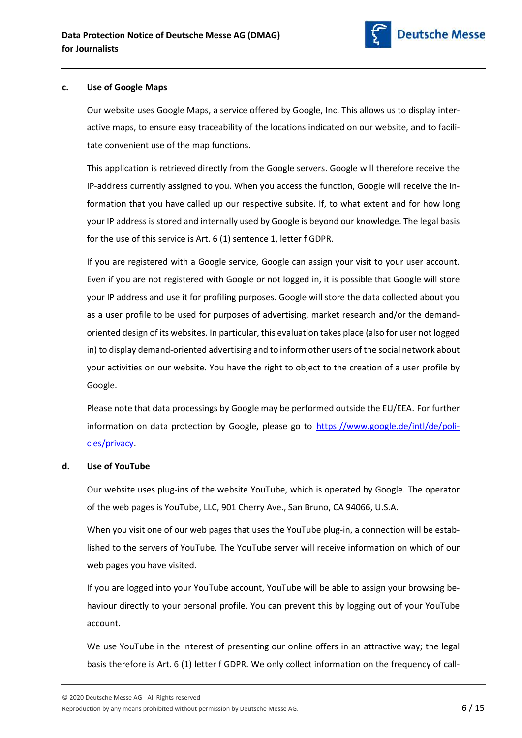

#### c. Use of Google Maps

Our website uses Google Maps, a service offered by Google, Inc. This allows us to display interactive maps, to ensure easy traceability of the locations indicated on our website, and to facilitate convenient use of the map functions.

This application is retrieved directly from the Google servers. Google will therefore receive the IP-address currently assigned to you. When you access the function, Google will receive the information that you have called up our respective subsite. If, to what extent and for how long your IP address is stored and internally used by Google is beyond our knowledge. The legal basis for the use of this service is Art. 6 (1) sentence 1, letter f GDPR.

If you are registered with a Google service, Google can assign your visit to your user account. Even if you are not registered with Google or not logged in, it is possible that Google will store your IP address and use it for profiling purposes. Google will store the data collected about you as a user profile to be used for purposes of advertising, market research and/or the demandoriented design of its websites. In particular, this evaluation takes place (also for user not logged in) to display demand-oriented advertising and to inform other users of the social network about your activities on our website. You have the right to object to the creation of a user profile by Google.

Please note that data processings by Google may be performed outside the EU/EEA. For further information on data protection by Google, please go to https://www.google.de/intl/de/policies/privacy.

## d. Use of YouTube

Our website uses plug-ins of the website YouTube, which is operated by Google. The operator of the web pages is YouTube, LLC, 901 Cherry Ave., San Bruno, CA 94066, U.S.A.

When you visit one of our web pages that uses the YouTube plug-in, a connection will be established to the servers of YouTube. The YouTube server will receive information on which of our web pages you have visited.

If you are logged into your YouTube account, YouTube will be able to assign your browsing behaviour directly to your personal profile. You can prevent this by logging out of your YouTube account.

We use YouTube in the interest of presenting our online offers in an attractive way; the legal basis therefore is Art. 6 (1) letter f GDPR. We only collect information on the frequency of call-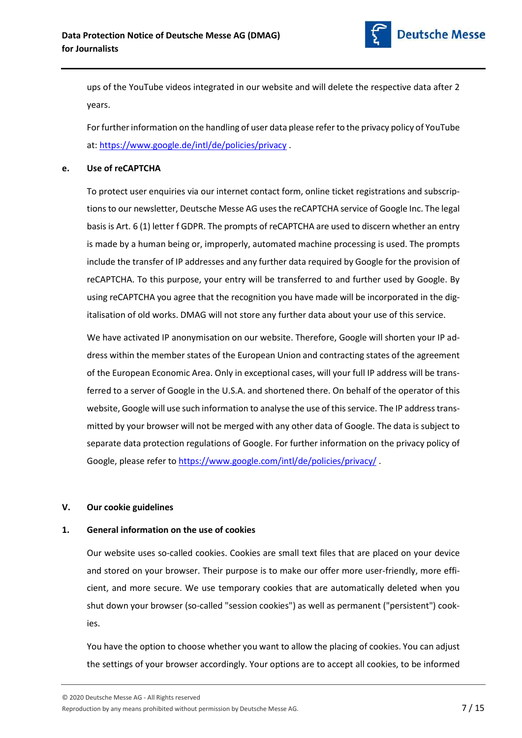

ups of the YouTube videos integrated in our website and will delete the respective data after 2 years.

For further information on the handling of user data please refer to the privacy policy of YouTube at: https://www.google.de/intl/de/policies/privacy .

## e. Use of reCAPTCHA

To protect user enquiries via our internet contact form, online ticket registrations and subscriptions to our newsletter, Deutsche Messe AG uses the reCAPTCHA service of Google Inc. The legal basis is Art. 6 (1) letter f GDPR. The prompts of reCAPTCHA are used to discern whether an entry is made by a human being or, improperly, automated machine processing is used. The prompts include the transfer of IP addresses and any further data required by Google for the provision of reCAPTCHA. To this purpose, your entry will be transferred to and further used by Google. By using reCAPTCHA you agree that the recognition you have made will be incorporated in the digitalisation of old works. DMAG will not store any further data about your use of this service.

We have activated IP anonymisation on our website. Therefore, Google will shorten your IP address within the member states of the European Union and contracting states of the agreement of the European Economic Area. Only in exceptional cases, will your full IP address will be transferred to a server of Google in the U.S.A. and shortened there. On behalf of the operator of this website, Google will use such information to analyse the use of this service. The IP address transmitted by your browser will not be merged with any other data of Google. The data is subject to separate data protection regulations of Google. For further information on the privacy policy of Google, please refer to https://www.google.com/intl/de/policies/privacy/.

## V. Our cookie guidelines

## 1. General information on the use of cookies

Our website uses so-called cookies. Cookies are small text files that are placed on your device and stored on your browser. Their purpose is to make our offer more user-friendly, more efficient, and more secure. We use temporary cookies that are automatically deleted when you shut down your browser (so-called "session cookies") as well as permanent ("persistent") cookies.

You have the option to choose whether you want to allow the placing of cookies. You can adjust the settings of your browser accordingly. Your options are to accept all cookies, to be informed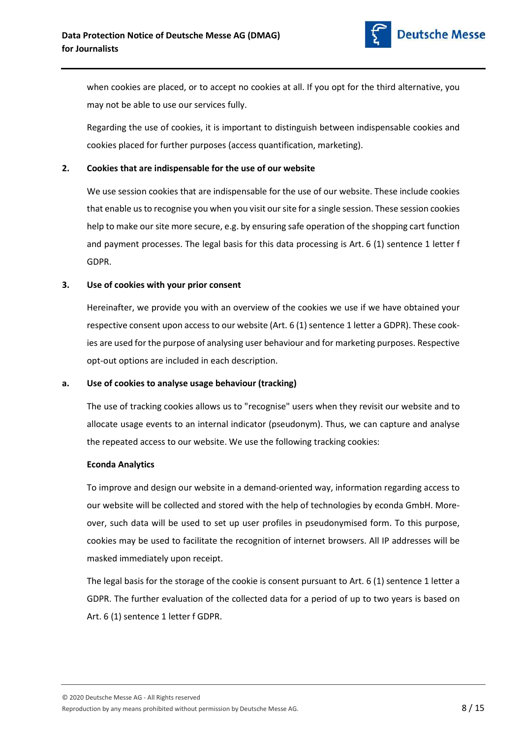

Regarding the use of cookies, it is important to distinguish between indispensable cookies and cookies placed for further purposes (access quantification, marketing).

## 2. Cookies that are indispensable for the use of our website

We use session cookies that are indispensable for the use of our website. These include cookies that enable us to recognise you when you visit our site for a single session. These session cookies help to make our site more secure, e.g. by ensuring safe operation of the shopping cart function and payment processes. The legal basis for this data processing is Art. 6 (1) sentence 1 letter f GDPR.

## 3. Use of cookies with your prior consent

Hereinafter, we provide you with an overview of the cookies we use if we have obtained your respective consent upon access to our website (Art. 6 (1) sentence 1 letter a GDPR). These cookies are used for the purpose of analysing user behaviour and for marketing purposes. Respective opt-out options are included in each description.

## a. Use of cookies to analyse usage behaviour (tracking)

The use of tracking cookies allows us to "recognise" users when they revisit our website and to allocate usage events to an internal indicator (pseudonym). Thus, we can capture and analyse the repeated access to our website. We use the following tracking cookies:

## Econda Analytics

To improve and design our website in a demand-oriented way, information regarding access to our website will be collected and stored with the help of technologies by econda GmbH. Moreover, such data will be used to set up user profiles in pseudonymised form. To this purpose, cookies may be used to facilitate the recognition of internet browsers. All IP addresses will be masked immediately upon receipt.

The legal basis for the storage of the cookie is consent pursuant to Art. 6 (1) sentence 1 letter a GDPR. The further evaluation of the collected data for a period of up to two years is based on Art. 6 (1) sentence 1 letter f GDPR.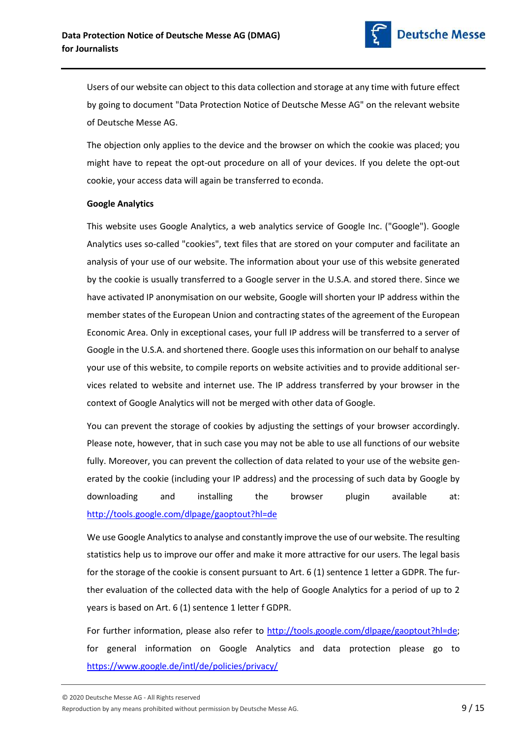

Users of our website can object to this data collection and storage at any time with future effect by going to document "Data Protection Notice of Deutsche Messe AG" on the relevant website of Deutsche Messe AG.

The objection only applies to the device and the browser on which the cookie was placed; you might have to repeat the opt-out procedure on all of your devices. If you delete the opt-out cookie, your access data will again be transferred to econda.

## Google Analytics

This website uses Google Analytics, a web analytics service of Google Inc. ("Google"). Google Analytics uses so-called "cookies", text files that are stored on your computer and facilitate an analysis of your use of our website. The information about your use of this website generated by the cookie is usually transferred to a Google server in the U.S.A. and stored there. Since we have activated IP anonymisation on our website, Google will shorten your IP address within the member states of the European Union and contracting states of the agreement of the European Economic Area. Only in exceptional cases, your full IP address will be transferred to a server of Google in the U.S.A. and shortened there. Google uses this information on our behalf to analyse your use of this website, to compile reports on website activities and to provide additional services related to website and internet use. The IP address transferred by your browser in the context of Google Analytics will not be merged with other data of Google.

You can prevent the storage of cookies by adjusting the settings of your browser accordingly. Please note, however, that in such case you may not be able to use all functions of our website fully. Moreover, you can prevent the collection of data related to your use of the website generated by the cookie (including your IP address) and the processing of such data by Google by downloading and installing the browser plugin available at: http://tools.google.com/dlpage/gaoptout?hl=de

We use Google Analytics to analyse and constantly improve the use of our website. The resulting statistics help us to improve our offer and make it more attractive for our users. The legal basis for the storage of the cookie is consent pursuant to Art. 6 (1) sentence 1 letter a GDPR. The further evaluation of the collected data with the help of Google Analytics for a period of up to 2 years is based on Art. 6 (1) sentence 1 letter f GDPR.

For further information, please also refer to http://tools.google.com/dlpage/gaoptout?hl=de; for general information on Google Analytics and data protection please go to https://www.google.de/intl/de/policies/privacy/

© 2020 Deutsche Messe AG - All Rights reserved

Reproduction by any means prohibited without permission by Deutsche Messe AG.  $\overline{9/15}$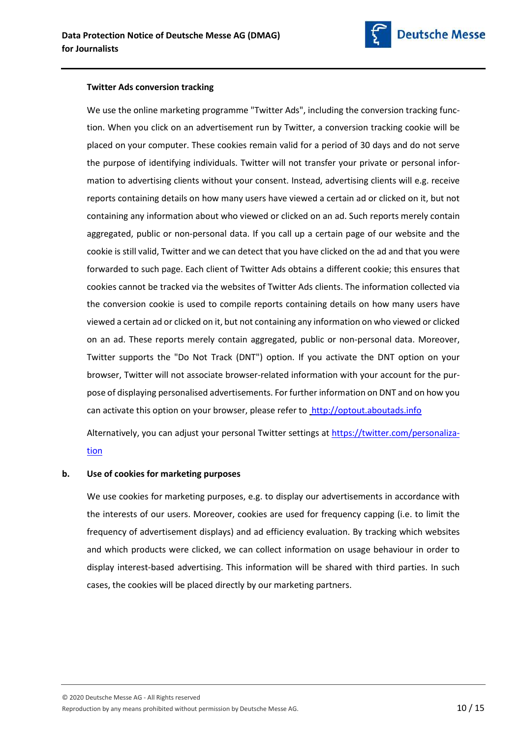

### Twitter Ads conversion tracking

We use the online marketing programme "Twitter Ads", including the conversion tracking function. When you click on an advertisement run by Twitter, a conversion tracking cookie will be placed on your computer. These cookies remain valid for a period of 30 days and do not serve the purpose of identifying individuals. Twitter will not transfer your private or personal information to advertising clients without your consent. Instead, advertising clients will e.g. receive reports containing details on how many users have viewed a certain ad or clicked on it, but not containing any information about who viewed or clicked on an ad. Such reports merely contain aggregated, public or non-personal data. If you call up a certain page of our website and the cookie is still valid, Twitter and we can detect that you have clicked on the ad and that you were forwarded to such page. Each client of Twitter Ads obtains a different cookie; this ensures that cookies cannot be tracked via the websites of Twitter Ads clients. The information collected via the conversion cookie is used to compile reports containing details on how many users have viewed a certain ad or clicked on it, but not containing any information on who viewed or clicked on an ad. These reports merely contain aggregated, public or non-personal data. Moreover, Twitter supports the "Do Not Track (DNT") option. If you activate the DNT option on your browser, Twitter will not associate browser-related information with your account for the purpose of displaying personalised advertisements. For further information on DNT and on how you can activate this option on your browser, please refer to http://optout.aboutads.info

Alternatively, you can adjust your personal Twitter settings at https://twitter.com/personalization

## b. Use of cookies for marketing purposes

We use cookies for marketing purposes, e.g. to display our advertisements in accordance with the interests of our users. Moreover, cookies are used for frequency capping (i.e. to limit the frequency of advertisement displays) and ad efficiency evaluation. By tracking which websites and which products were clicked, we can collect information on usage behaviour in order to display interest-based advertising. This information will be shared with third parties. In such cases, the cookies will be placed directly by our marketing partners.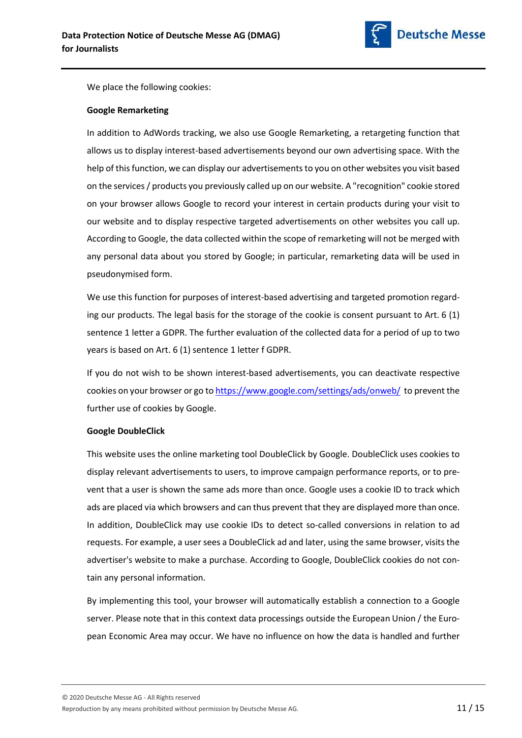

We place the following cookies:

#### Google Remarketing

In addition to AdWords tracking, we also use Google Remarketing, a retargeting function that allows us to display interest-based advertisements beyond our own advertising space. With the help of this function, we can display our advertisements to you on other websites you visit based on the services / products you previously called up on our website. A "recognition" cookie stored on your browser allows Google to record your interest in certain products during your visit to our website and to display respective targeted advertisements on other websites you call up. According to Google, the data collected within the scope of remarketing will not be merged with any personal data about you stored by Google; in particular, remarketing data will be used in pseudonymised form.

We use this function for purposes of interest-based advertising and targeted promotion regarding our products. The legal basis for the storage of the cookie is consent pursuant to Art. 6 (1) sentence 1 letter a GDPR. The further evaluation of the collected data for a period of up to two years is based on Art. 6 (1) sentence 1 letter f GDPR.

If you do not wish to be shown interest-based advertisements, you can deactivate respective cookies on your browser or go to https://www.google.com/settings/ads/onweb/ to prevent the further use of cookies by Google.

#### Google DoubleClick

This website uses the online marketing tool DoubleClick by Google. DoubleClick uses cookies to display relevant advertisements to users, to improve campaign performance reports, or to prevent that a user is shown the same ads more than once. Google uses a cookie ID to track which ads are placed via which browsers and can thus prevent that they are displayed more than once. In addition, DoubleClick may use cookie IDs to detect so-called conversions in relation to ad requests. For example, a user sees a DoubleClick ad and later, using the same browser, visits the advertiser's website to make a purchase. According to Google, DoubleClick cookies do not contain any personal information.

By implementing this tool, your browser will automatically establish a connection to a Google server. Please note that in this context data processings outside the European Union / the European Economic Area may occur. We have no influence on how the data is handled and further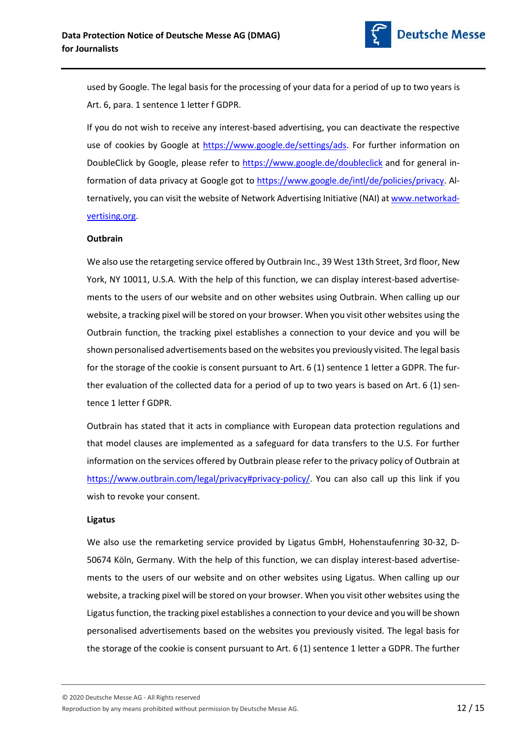

used by Google. The legal basis for the processing of your data for a period of up to two years is Art. 6, para. 1 sentence 1 letter f GDPR.

If you do not wish to receive any interest-based advertising, you can deactivate the respective use of cookies by Google at https://www.google.de/settings/ads. For further information on DoubleClick by Google, please refer to https://www.google.de/doubleclick and for general information of data privacy at Google got to https://www.google.de/intl/de/policies/privacy. Alternatively, you can visit the website of Network Advertising Initiative (NAI) at www.networkadvertising.org.

## **Outbrain**

We also use the retargeting service offered by Outbrain Inc., 39 West 13th Street, 3rd floor, New York, NY 10011, U.S.A. With the help of this function, we can display interest-based advertisements to the users of our website and on other websites using Outbrain. When calling up our website, a tracking pixel will be stored on your browser. When you visit other websites using the Outbrain function, the tracking pixel establishes a connection to your device and you will be shown personalised advertisements based on the websites you previously visited. The legal basis for the storage of the cookie is consent pursuant to Art. 6 (1) sentence 1 letter a GDPR. The further evaluation of the collected data for a period of up to two years is based on Art. 6 (1) sentence 1 letter f GDPR.

Outbrain has stated that it acts in compliance with European data protection regulations and that model clauses are implemented as a safeguard for data transfers to the U.S. For further information on the services offered by Outbrain please refer to the privacy policy of Outbrain at https://www.outbrain.com/legal/privacy#privacy-policy/. You can also call up this link if you wish to revoke your consent.

#### Ligatus

We also use the remarketing service provided by Ligatus GmbH, Hohenstaufenring 30-32, D-50674 Köln, Germany. With the help of this function, we can display interest-based advertisements to the users of our website and on other websites using Ligatus. When calling up our website, a tracking pixel will be stored on your browser. When you visit other websites using the Ligatus function, the tracking pixel establishes a connection to your device and you will be shown personalised advertisements based on the websites you previously visited. The legal basis for the storage of the cookie is consent pursuant to Art. 6 (1) sentence 1 letter a GDPR. The further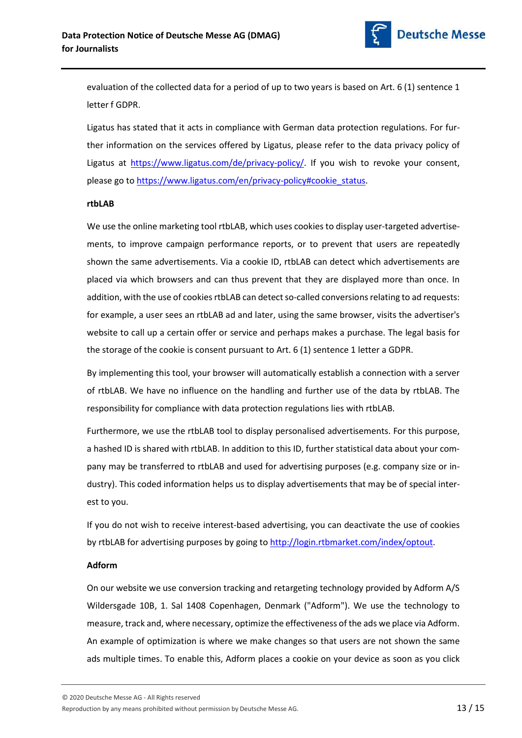

evaluation of the collected data for a period of up to two years is based on Art. 6 (1) sentence 1 letter f GDPR.

Ligatus has stated that it acts in compliance with German data protection regulations. For further information on the services offered by Ligatus, please refer to the data privacy policy of Ligatus at https://www.ligatus.com/de/privacy-policy/. If you wish to revoke your consent, please go to https://www.ligatus.com/en/privacy-policy#cookie\_status.

#### rtbLAB

We use the online marketing tool rtbLAB, which uses cookies to display user-targeted advertisements, to improve campaign performance reports, or to prevent that users are repeatedly shown the same advertisements. Via a cookie ID, rtbLAB can detect which advertisements are placed via which browsers and can thus prevent that they are displayed more than once. In addition, with the use of cookies rtbLAB can detect so-called conversions relating to ad requests: for example, a user sees an rtbLAB ad and later, using the same browser, visits the advertiser's website to call up a certain offer or service and perhaps makes a purchase. The legal basis for the storage of the cookie is consent pursuant to Art. 6 (1) sentence 1 letter a GDPR.

By implementing this tool, your browser will automatically establish a connection with a server of rtbLAB. We have no influence on the handling and further use of the data by rtbLAB. The responsibility for compliance with data protection regulations lies with rtbLAB.

Furthermore, we use the rtbLAB tool to display personalised advertisements. For this purpose, a hashed ID is shared with rtbLAB. In addition to this ID, further statistical data about your company may be transferred to rtbLAB and used for advertising purposes (e.g. company size or industry). This coded information helps us to display advertisements that may be of special interest to you.

If you do not wish to receive interest-based advertising, you can deactivate the use of cookies by rtbLAB for advertising purposes by going to http://login.rtbmarket.com/index/optout.

## Adform

On our website we use conversion tracking and retargeting technology provided by Adform A/S Wildersgade 10B, 1. Sal 1408 Copenhagen, Denmark ("Adform"). We use the technology to measure, track and, where necessary, optimize the effectiveness of the ads we place via Adform. An example of optimization is where we make changes so that users are not shown the same ads multiple times. To enable this, Adform places a cookie on your device as soon as you click

Reproduction by any means prohibited without permission by Deutsche Messe AG.  $13 / 15$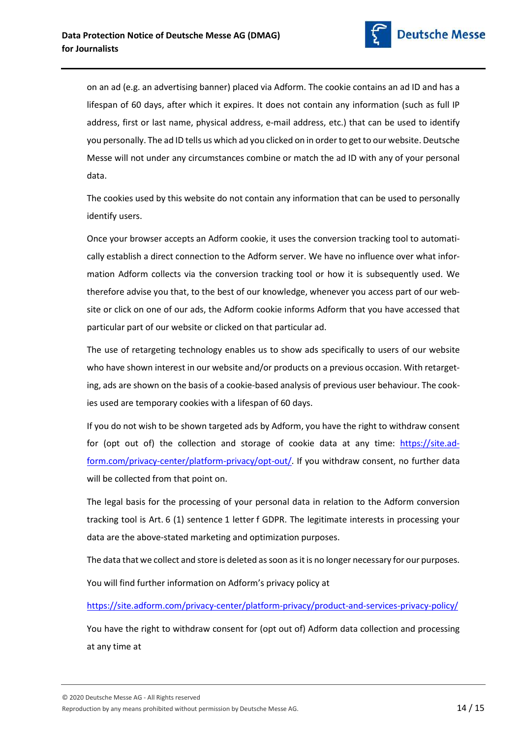

on an ad (e.g. an advertising banner) placed via Adform. The cookie contains an ad ID and has a lifespan of 60 days, after which it expires. It does not contain any information (such as full IP address, first or last name, physical address, e-mail address, etc.) that can be used to identify you personally. The ad ID tells us which ad you clicked on in order to get to our website. Deutsche Messe will not under any circumstances combine or match the ad ID with any of your personal data.

The cookies used by this website do not contain any information that can be used to personally identify users.

Once your browser accepts an Adform cookie, it uses the conversion tracking tool to automatically establish a direct connection to the Adform server. We have no influence over what information Adform collects via the conversion tracking tool or how it is subsequently used. We therefore advise you that, to the best of our knowledge, whenever you access part of our website or click on one of our ads, the Adform cookie informs Adform that you have accessed that particular part of our website or clicked on that particular ad.

The use of retargeting technology enables us to show ads specifically to users of our website who have shown interest in our website and/or products on a previous occasion. With retargeting, ads are shown on the basis of a cookie-based analysis of previous user behaviour. The cookies used are temporary cookies with a lifespan of 60 days.

If you do not wish to be shown targeted ads by Adform, you have the right to withdraw consent for (opt out of) the collection and storage of cookie data at any time: https://site.adform.com/privacy-center/platform-privacy/opt-out/. If you withdraw consent, no further data will be collected from that point on.

The legal basis for the processing of your personal data in relation to the Adform conversion tracking tool is Art. 6 (1) sentence 1 letter f GDPR. The legitimate interests in processing your data are the above-stated marketing and optimization purposes.

The data that we collect and store is deleted as soon as it is no longer necessary for our purposes.

You will find further information on Adform's privacy policy at

https://site.adform.com/privacy-center/platform-privacy/product-and-services-privacy-policy/

You have the right to withdraw consent for (opt out of) Adform data collection and processing at any time at